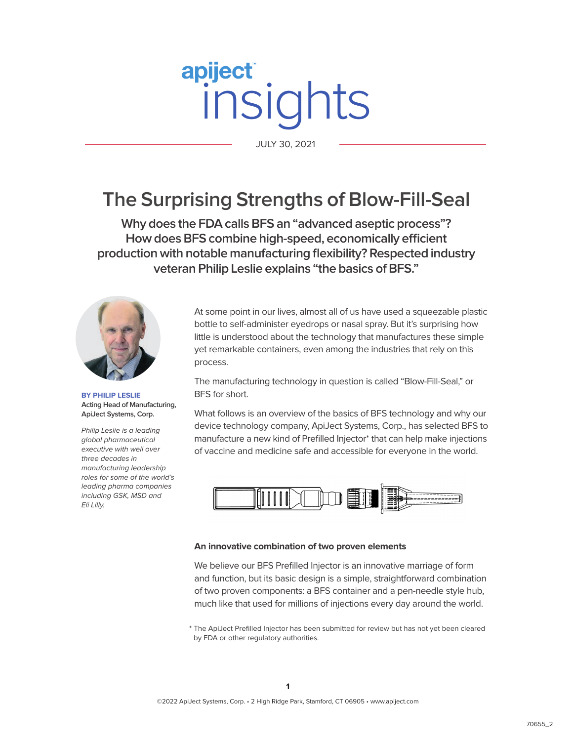# apiject® its JULY 30, 2021

JULY 30, 2021

# **The Surprising Strengths of Blow-Fill-Seal**

**Why does the FDA calls BFS an "advanced aseptic process"? How does BFS combine high-speed, economically efficient production with notable manufacturing flexibility? Respected industry veteran Philip Leslie explains "the basics of BFS."**



**BY PHILIP LESLIE Acting Head of Manufacturing, ApiJect Systems, Corp.** 

Philip Leslie is a leading global pharmaceutical executive with well over three decades in manufacturing leadership roles for some of the world's leading pharma companies including GSK, MSD and Eli Lilly.

At some point in our lives, almost all of us have used a squeezable plastic bottle to self-administer eyedrops or nasal spray. But it's surprising how little is understood about the technology that manufactures these simple yet remarkable containers, even among the industries that rely on this process.

The manufacturing technology in question is called "Blow-Fill-Seal," or BFS for short.

What follows is an overview of the basics of BFS technology and why our device technology company, ApiJect Systems, Corp., has selected BFS to manufacture a new kind of Prefilled Injector\* that can help make injections of vaccine and medicine safe and accessible for everyone in the world.



#### **An innovative combination of two proven elements**

We believe our BFS Prefilled Injector is an innovative marriage of form and function, but its basic design is a simple, straightforward combination of two proven components: a BFS container and a pen-needle style hub, much like that used for millions of injections every day around the world.

\* The ApiJect Prefilled Injector has been submitted for review but has not yet been cleared by FDA or other regulatory authorities.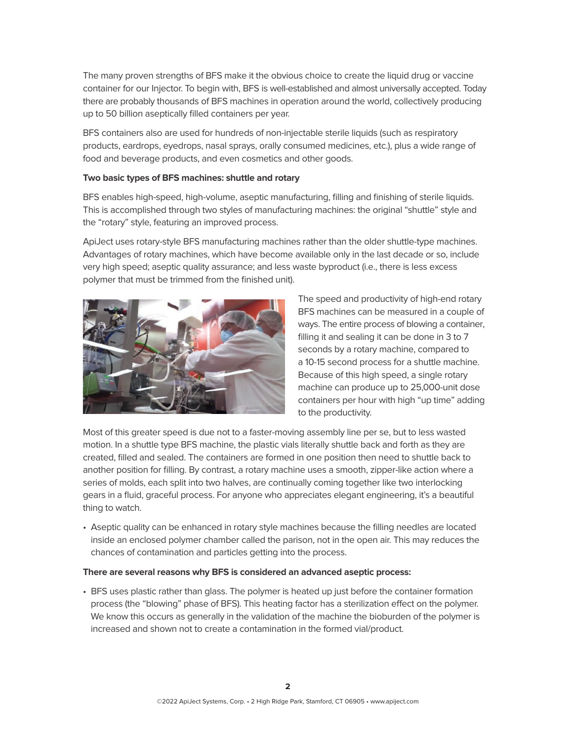The many proven strengths of BFS make it the obvious choice to create the liquid drug or vaccine container for our Injector. To begin with, BFS is well-established and almost universally accepted. Today there are probably thousands of BFS machines in operation around the world, collectively producing up to 50 billion aseptically filled containers per year.

BFS containers also are used for hundreds of non-injectable sterile liquids (such as respiratory products, eardrops, eyedrops, nasal sprays, orally consumed medicines, etc.), plus a wide range of food and beverage products, and even cosmetics and other goods.

#### **Two basic types of BFS machines: shuttle and rotary**

BFS enables high-speed, high-volume, aseptic manufacturing, filling and finishing of sterile liquids. This is accomplished through two styles of manufacturing machines: the original "shuttle" style and the "rotary" style, featuring an improved process.

ApiJect uses rotary-style BFS manufacturing machines rather than the older shuttle-type machines. Advantages of rotary machines, which have become available only in the last decade or so, include very high speed; aseptic quality assurance; and less waste byproduct (i.e., there is less excess polymer that must be trimmed from the finished unit).



The speed and productivity of high-end rotary BFS machines can be measured in a couple of ways. The entire process of blowing a container, filling it and sealing it can be done in 3 to 7 seconds by a rotary machine, compared to a 10-15 second process for a shuttle machine. Because of this high speed, a single rotary machine can produce up to 25,000-unit dose containers per hour with high "up time" adding to the productivity.

Most of this greater speed is due not to a faster-moving assembly line per se, but to less wasted motion. In a shuttle type BFS machine, the plastic vials literally shuttle back and forth as they are created, filled and sealed. The containers are formed in one position then need to shuttle back to another position for filling. By contrast, a rotary machine uses a smooth, zipper-like action where a series of molds, each split into two halves, are continually coming together like two interlocking gears in a fluid, graceful process. For anyone who appreciates elegant engineering, it's a beautiful thing to watch.

• Aseptic quality can be enhanced in rotary style machines because the filling needles are located inside an enclosed polymer chamber called the parison, not in the open air. This may reduces the chances of contamination and particles getting into the process.

#### **There are several reasons why BFS is considered an advanced aseptic process:**

• BFS uses plastic rather than glass. The polymer is heated up just before the container formation process (the "blowing" phase of BFS). This heating factor has a sterilization effect on the polymer. We know this occurs as generally in the validation of the machine the bioburden of the polymer is increased and shown not to create a contamination in the formed vial/product.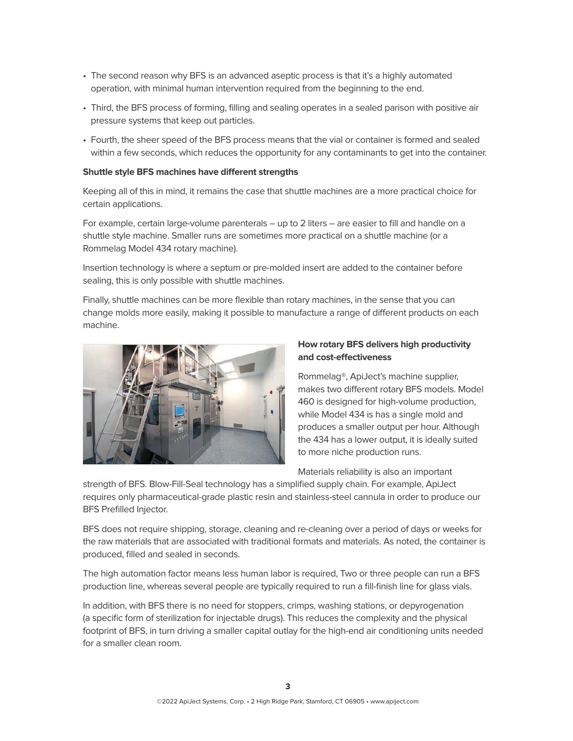- The second reason why BFS is an advanced aseptic process is that it's a highly automated operation, with minimal human intervention required from the beginning to the end.
- Third, the BFS process of forming, filling and sealing operates in a sealed parison with positive air pressure systems that keep out particles.
- Fourth, the sheer speed of the BFS process means that the vial or container is formed and sealed within a few seconds, which reduces the opportunity for any contaminants to get into the container.

#### **Shuttle style BFS machines have different strengths**

Keeping all of this in mind, it remains the case that shuttle machines are a more practical choice for certain applications.

For example, certain large-volume parenterals – up to 2 liters – are easier to fill and handle on a shuttle style machine. Smaller runs are sometimes more practical on a shuttle machine (or a Rommelag Model 434 rotary machine).

Insertion technology is where a septum or pre-molded insert are added to the container before sealing, this is only possible with shuttle machines.

Finally, shuttle machines can be more flexible than rotary machines, in the sense that you can change molds more easily, making it possible to manufacture a range of different products on each machine.



### **How rotary BFS delivers high productivity and cost-effectiveness**

Rommelag®, ApiJect's machine supplier, makes two different rotary BFS models. Model 460 is designed for high-volume production, while Model 434 is has a single mold and produces a smaller output per hour. Although the 434 has a lower output, it is ideally suited to more niche production runs.

Materials reliability is also an important

strength of BFS. Blow-Fill-Seal technology has a simplified supply chain. For example, ApiJect requires only pharmaceutical-grade plastic resin and stainless-steel cannula in order to produce our BFS Prefilled Injector.

BFS does not require shipping, storage, cleaning and re-cleaning over a period of days or weeks for the raw materials that are associated with traditional formats and materials. As noted, the container is produced, filled and sealed in seconds.

The high automation factor means less human labor is required, Two or three people can run a BFS production line, whereas several people are typically required to run a fill-finish line for glass vials.

In addition, with BFS there is no need for stoppers, crimps, washing stations, or depyrogenation (a specific form of sterilization for injectable drugs). This reduces the complexity and the physical footprint of BFS, in turn driving a smaller capital outlay for the high-end air conditioning units needed for a smaller clean room.